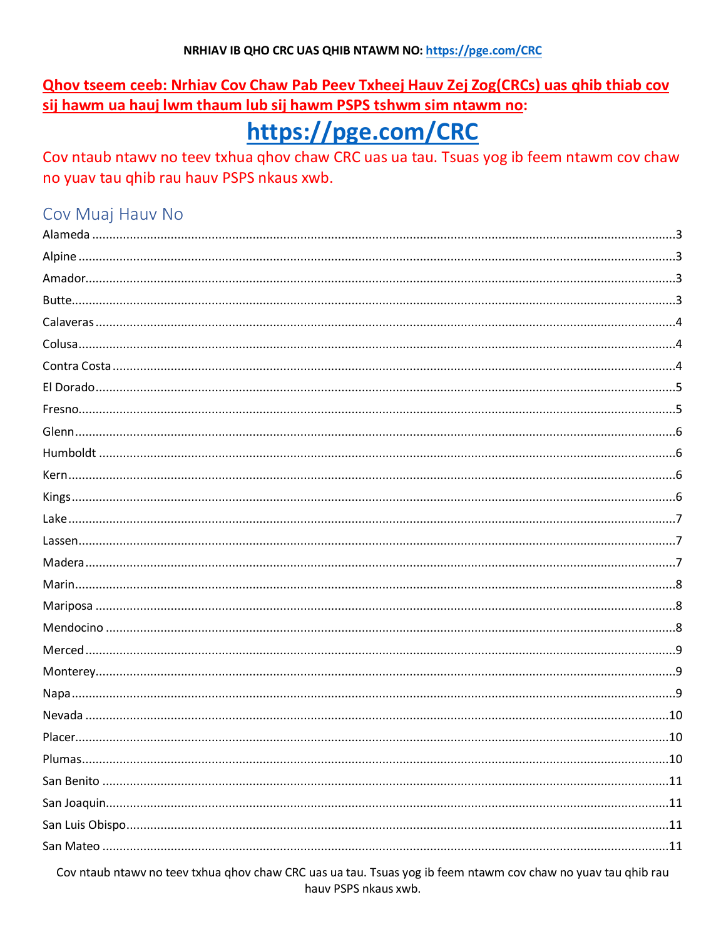### **Qhov tseem ceeb: Nrhiav Cov Chaw Pab Peev Txheej Hauv Zej Zog(CRCs) uas ghib thiab cov** sij hawm ua hauj lwm thaum lub sij hawm PSPS tshwm sim ntawm no:

# https://pge.com/CRC

Cov ntaub ntawy no teev txhua ghov chaw CRC uas ua tau. Tsuas yog ib feem ntawm cov chaw no yuav tau qhib rau hauv PSPS nkaus xwb.

# Cov Muaj Hauv No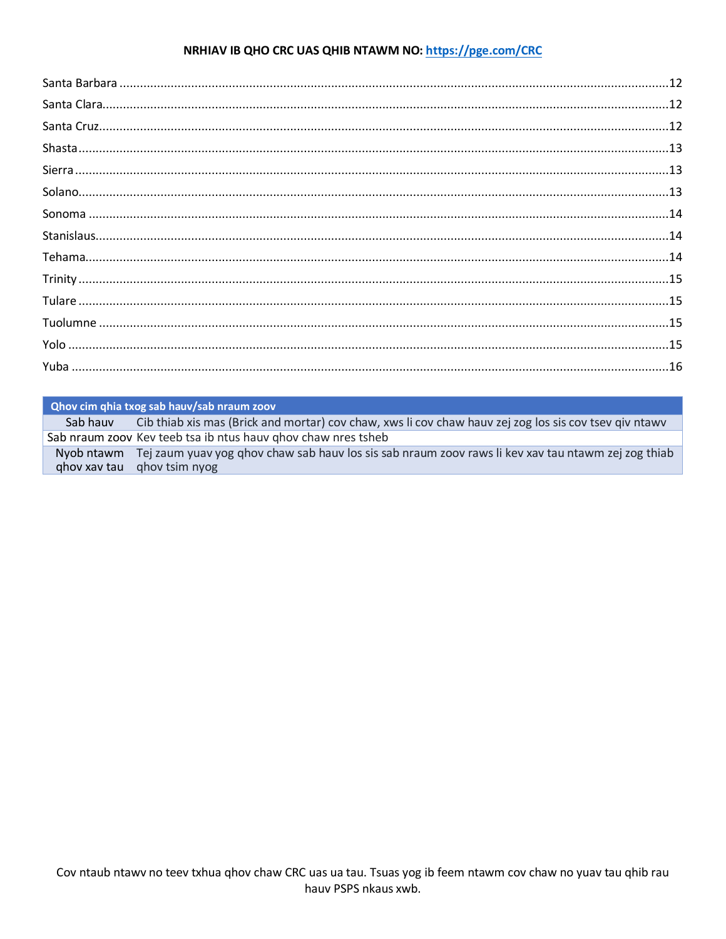Qhov cim qhia txog sab hauv/sab nraum zoov Sab hauv Cib thiab xis mas (Brick and mortar) cov chaw, xws li cov chaw hauv zej zog los sis cov tsev qiv ntawv Sab nraum zoov Kev teeb tsa ib ntus hauv ghov chaw nres tsheb Nyob ntawm Tej zaum yuav yog qhov chaw sab hauv los sis sab nraum zoov raws li kev xav tau ntawm zej zog thiab qhov xav tau qhov tsim nyog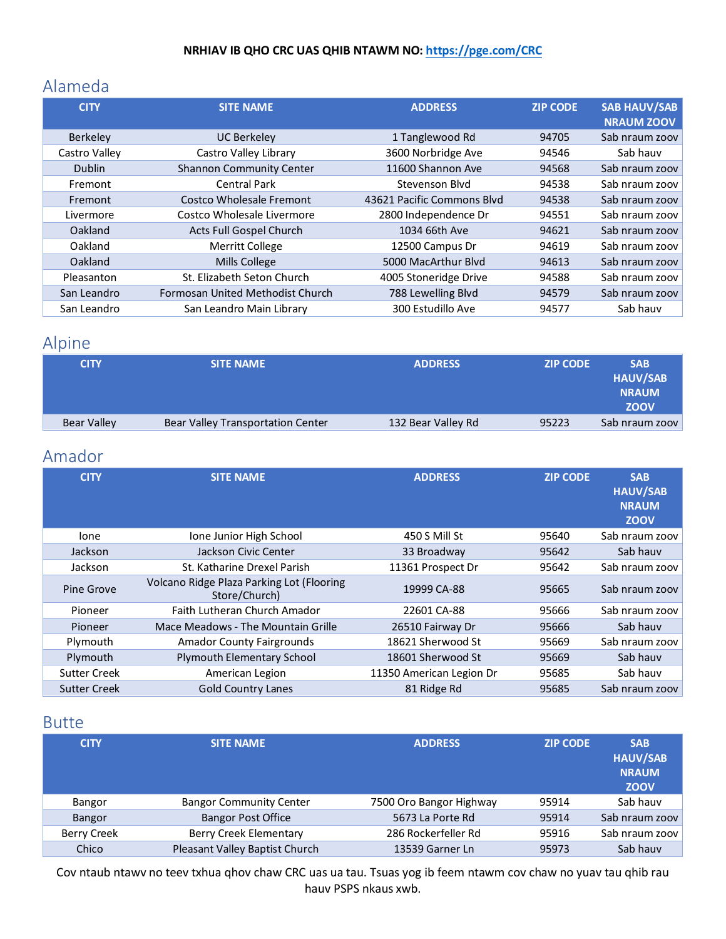### <span id="page-2-0"></span>Alameda

| <b>CITY</b>     | <b>SITE NAME</b>                 | <b>ADDRESS</b>             | <b>ZIP CODE</b> | <b>SAB HAUV/SAB</b><br><b>NRAUM ZOOV</b> |
|-----------------|----------------------------------|----------------------------|-----------------|------------------------------------------|
| <b>Berkeley</b> | <b>UC Berkeley</b>               | 1 Tanglewood Rd            | 94705           | Sab nraum zoov                           |
| Castro Valley   | Castro Valley Library            | 3600 Norbridge Ave         | 94546           | Sab hauv                                 |
| <b>Dublin</b>   | <b>Shannon Community Center</b>  | 11600 Shannon Ave          | 94568           | Sab nraum zoov                           |
| Fremont         | <b>Central Park</b>              | Stevenson Blyd             | 94538           | Sab nraum zoov                           |
| Fremont         | Costco Wholesale Fremont         | 43621 Pacific Commons Blyd | 94538           | Sab nraum zoov                           |
| Livermore       | Costco Wholesale Livermore       | 2800 Independence Dr       | 94551           | Sab nraum zoov                           |
| Oakland         | Acts Full Gospel Church          | 1034 66th Ave              | 94621           | Sab nraum zoov                           |
| Oakland         | <b>Merritt College</b>           | 12500 Campus Dr            | 94619           | Sab nraum zoov                           |
| Oakland         | Mills College                    | 5000 MacArthur Blyd        | 94613           | Sab nraum zoov                           |
| Pleasanton      | St. Elizabeth Seton Church       | 4005 Stoneridge Drive      | 94588           | Sab nraum zoov                           |
| San Leandro     | Formosan United Methodist Church | 788 Lewelling Blvd         | 94579           | Sab nraum zoov                           |
| San Leandro     | San Leandro Main Library         | 300 Estudillo Ave          | 94577           | Sab hauv                                 |

# <span id="page-2-1"></span>Alpine

| <b>CITY</b>        | <b>SITE NAME</b>                         | <b>ADDRESS</b>     | <b>ZIP CODE</b> | <b>SAB</b><br><b>HAUV/SAB</b><br><b>NRAUM</b><br><b>ZOOV</b> |
|--------------------|------------------------------------------|--------------------|-----------------|--------------------------------------------------------------|
| <b>Bear Valley</b> | <b>Bear Valley Transportation Center</b> | 132 Bear Valley Rd | 95223           | Sab nraum zoov                                               |

# <span id="page-2-2"></span>Amador

| <b>CITY</b>         | <b>SITE NAME</b>                                           | <b>ADDRESS</b>           | <b>ZIP CODE</b> | <b>SAB</b><br><b>HAUV/SAB</b><br><b>NRAUM</b><br><b>ZOOV</b> |
|---------------------|------------------------------------------------------------|--------------------------|-----------------|--------------------------------------------------------------|
| lone                | Ione Junior High School                                    | 450 S Mill St            | 95640           | Sab nraum zoov                                               |
| Jackson             | Jackson Civic Center                                       | 33 Broadway              | 95642           | Sab hauv                                                     |
| Jackson             | St. Katharine Drexel Parish                                | 11361 Prospect Dr        | 95642           | Sab nraum zoov                                               |
| Pine Grove          | Volcano Ridge Plaza Parking Lot (Flooring<br>Store/Church) | 19999 CA-88              | 95665           | Sab nraum zoov                                               |
| Pioneer             | Faith Lutheran Church Amador                               | 22601 CA-88              | 95666           | Sab nraum zoov                                               |
| Pioneer             | Mace Meadows - The Mountain Grille                         | 26510 Fairway Dr         | 95666           | Sab hauv                                                     |
| Plymouth            | <b>Amador County Fairgrounds</b>                           | 18621 Sherwood St        | 95669           | Sab nraum zoov                                               |
| Plymouth            | Plymouth Elementary School                                 | 18601 Sherwood St        | 95669           | Sab hauv                                                     |
| <b>Sutter Creek</b> | American Legion                                            | 11350 American Legion Dr | 95685           | Sab hauv                                                     |
| <b>Sutter Creek</b> | <b>Gold Country Lanes</b>                                  | 81 Ridge Rd              | 95685           | Sab nraum zoov                                               |

### <span id="page-2-3"></span>Butte

| <b>CITY</b>        | <b>SITE NAME</b>               | <b>ADDRESS</b>          | <b>ZIP CODE</b> | <b>SAB</b><br><b>HAUV/SAB</b><br><b>NRAUM</b><br><b>ZOOV</b> |
|--------------------|--------------------------------|-------------------------|-----------------|--------------------------------------------------------------|
| Bangor             | <b>Bangor Community Center</b> | 7500 Oro Bangor Highway | 95914           | Sab hauv                                                     |
| Bangor             | <b>Bangor Post Office</b>      | 5673 La Porte Rd        | 95914           | Sab nraum zoov                                               |
| <b>Berry Creek</b> | Berry Creek Elementary         | 286 Rockerfeller Rd     | 95916           | Sab nraum zoov                                               |
| Chico              | Pleasant Valley Baptist Church | 13539 Garner Ln         | 95973           | Sab hauv                                                     |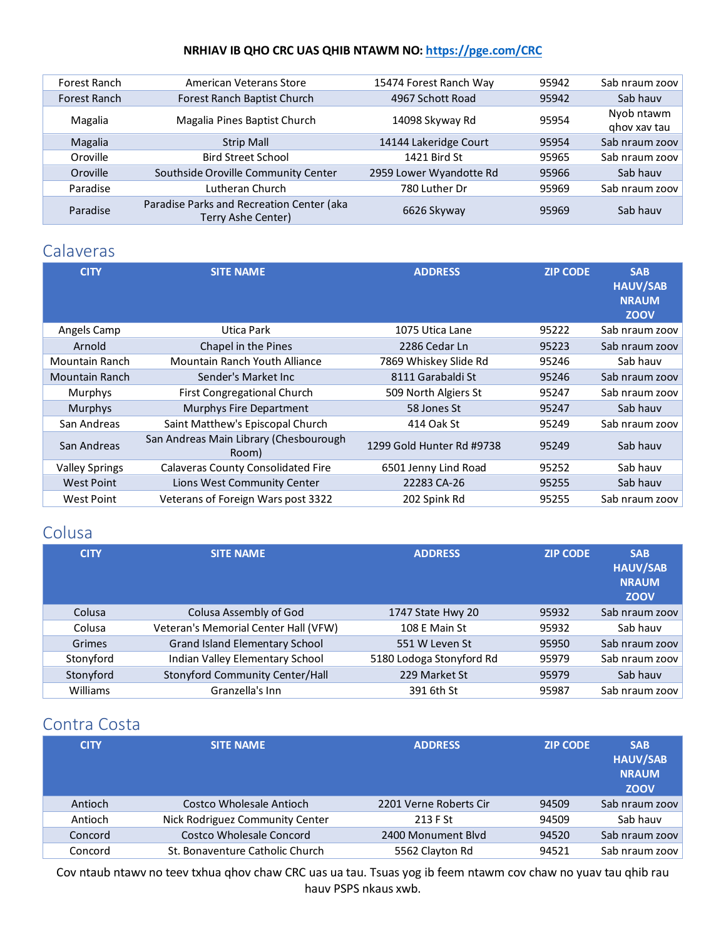| Forest Ranch | American Veterans Store                                         | 15474 Forest Ranch Way  | 95942 | Sab nraum zoov             |
|--------------|-----------------------------------------------------------------|-------------------------|-------|----------------------------|
| Forest Ranch | Forest Ranch Baptist Church                                     | 4967 Schott Road        | 95942 | Sab hauv                   |
| Magalia      | Magalia Pines Baptist Church                                    | 14098 Skyway Rd         | 95954 | Nyob ntawm<br>ghov xav tau |
| Magalia      | <b>Strip Mall</b>                                               | 14144 Lakeridge Court   | 95954 | Sab nraum zoov             |
| Oroville     | <b>Bird Street School</b>                                       | 1421 Bird St            | 95965 | Sab nraum zoov             |
| Oroville     | Southside Oroville Community Center                             | 2959 Lower Wyandotte Rd | 95966 | Sab hauv                   |
| Paradise     | Lutheran Church                                                 | 780 Luther Dr           | 95969 | Sab nraum zoov             |
| Paradise     | Paradise Parks and Recreation Center (aka<br>Terry Ashe Center) | 6626 Skyway             | 95969 | Sab hauv                   |

# <span id="page-3-0"></span>Calaveras

| <b>CITY</b>           | <b>SITE NAME</b>                                | <b>ADDRESS</b>            | <b>ZIP CODE</b> | <b>SAB</b><br><b>HAUV/SAB</b><br><b>NRAUM</b><br><b>ZOOV</b> |
|-----------------------|-------------------------------------------------|---------------------------|-----------------|--------------------------------------------------------------|
| Angels Camp           | Utica Park                                      | 1075 Utica Lane           | 95222           | Sab nraum zoov                                               |
| Arnold                | Chapel in the Pines                             | 2286 Cedar Ln             | 95223           | Sab nraum zoov                                               |
| Mountain Ranch        | Mountain Ranch Youth Alliance                   | 7869 Whiskey Slide Rd     | 95246           | Sab hauv                                                     |
| Mountain Ranch        | Sender's Market Inc                             | 8111 Garabaldi St         | 95246           | Sab nraum zoov                                               |
| Murphys               | <b>First Congregational Church</b>              | 509 North Algiers St      | 95247           | Sab nraum zoov                                               |
| <b>Murphys</b>        | <b>Murphys Fire Department</b>                  | 58 Jones St               | 95247           | Sab hauv                                                     |
| San Andreas           | Saint Matthew's Episcopal Church                | 414 Oak St                | 95249           | Sab nraum zoov                                               |
| San Andreas           | San Andreas Main Library (Chesbourough<br>Room) | 1299 Gold Hunter Rd #9738 | 95249           | Sab hauv                                                     |
| <b>Valley Springs</b> | <b>Calaveras County Consolidated Fire</b>       | 6501 Jenny Lind Road      | 95252           | Sab hauv                                                     |
| <b>West Point</b>     | Lions West Community Center                     | 22283 CA-26               | 95255           | Sab hauv                                                     |
| <b>West Point</b>     | Veterans of Foreign Wars post 3322              | 202 Spink Rd              | 95255           | Sab nraum zoov                                               |

# <span id="page-3-1"></span>Colusa

| <b>CITY</b> | <b>SITE NAME</b>                     | <b>ADDRESS</b>           | <b>ZIP CODE</b> | <b>SAB</b><br><b>HAUV/SAB</b><br><b>NRAUM</b><br><b>ZOOV</b> |
|-------------|--------------------------------------|--------------------------|-----------------|--------------------------------------------------------------|
| Colusa      | Colusa Assembly of God               | 1747 State Hwy 20        | 95932           | Sab nraum zoov                                               |
| Colusa      | Veteran's Memorial Center Hall (VFW) | 108 E Main St            | 95932           | Sab hauv                                                     |
| Grimes      | Grand Island Elementary School       | 551 W Leven St           | 95950           | Sab nraum zoov                                               |
| Stonyford   | Indian Valley Elementary School      | 5180 Lodoga Stonyford Rd | 95979           | Sab nraum zoov                                               |
| Stonyford   | Stonyford Community Center/Hall      | 229 Market St            | 95979           | Sab hauv                                                     |
| Williams    | Granzella's Inn                      | 391 6th St               | 95987           | Sab nraum zoov                                               |

### <span id="page-3-2"></span>Contra Costa

| <b>CITY</b> | <b>SITE NAME</b>                | <b>ADDRESS</b>         | <b>ZIP CODE</b> | <b>SAB</b><br><b>HAUV/SAB</b><br><b>NRAUM</b><br><b>ZOOV</b> |
|-------------|---------------------------------|------------------------|-----------------|--------------------------------------------------------------|
| Antioch     | Costco Wholesale Antioch        | 2201 Verne Roberts Cir | 94509           | Sab nraum zoov                                               |
| Antioch     | Nick Rodriguez Community Center | 213 F St               | 94509           | Sab hauv                                                     |
| Concord     | Costco Wholesale Concord        | 2400 Monument Blvd     | 94520           | Sab nraum zoov                                               |
| Concord     | St. Bonaventure Catholic Church | 5562 Clayton Rd        | 94521           | Sab nraum zoov                                               |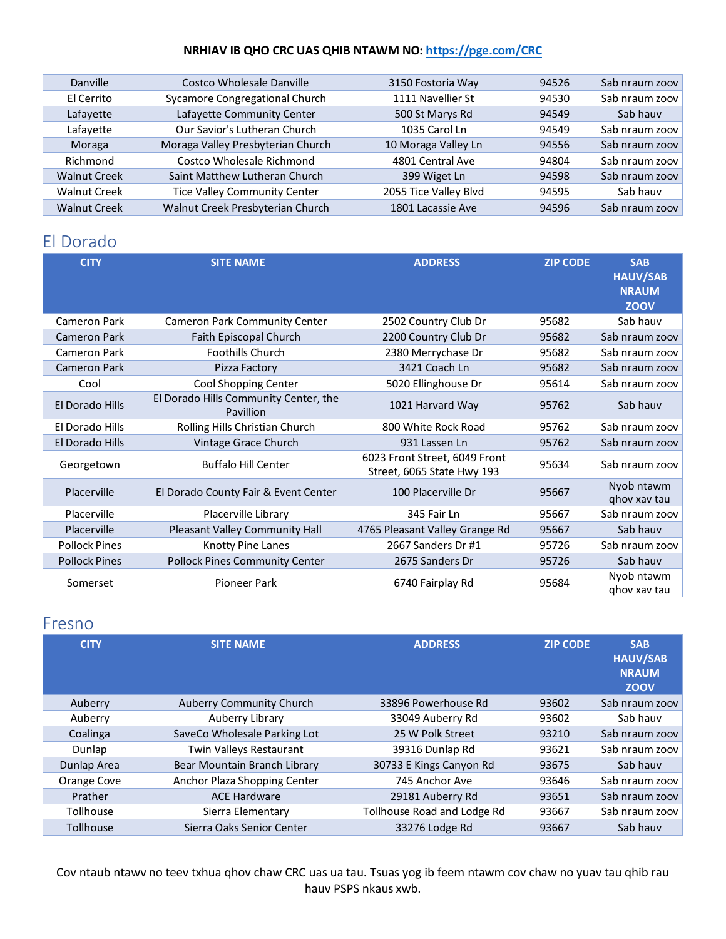| Danville            | Costco Wholesale Danville           | 3150 Fostoria Way     | 94526 | Sab nraum zoov |
|---------------------|-------------------------------------|-----------------------|-------|----------------|
| El Cerrito          | Sycamore Congregational Church      | 1111 Navellier St     | 94530 | Sab nraum zoov |
| Lafayette           | Lafayette Community Center          | 500 St Marys Rd       | 94549 | Sab hauv       |
| Lafayette           | Our Savior's Lutheran Church        | 1035 Carol Ln         | 94549 | Sab nraum zoov |
| Moraga              | Moraga Valley Presbyterian Church   | 10 Moraga Valley Ln   | 94556 | Sab nraum zoov |
| Richmond            | Costco Wholesale Richmond           | 4801 Central Ave      | 94804 | Sab nraum zoov |
| <b>Walnut Creek</b> | Saint Matthew Lutheran Church       | 399 Wiget Ln          | 94598 | Sab nraum zoov |
| <b>Walnut Creek</b> | <b>Tice Valley Community Center</b> | 2055 Tice Valley Blvd | 94595 | Sab hauv       |
| <b>Walnut Creek</b> | Walnut Creek Presbyterian Church    | 1801 Lacassie Ave     | 94596 | Sab nraum zoov |

## <span id="page-4-0"></span>El Dorado

| <b>CITY</b>          | <b>SITE NAME</b>                                   | <b>ADDRESS</b>                                              | <b>ZIP CODE</b> | <b>SAB</b><br><b>HAUV/SAB</b><br><b>NRAUM</b><br><b>ZOOV</b> |
|----------------------|----------------------------------------------------|-------------------------------------------------------------|-----------------|--------------------------------------------------------------|
| <b>Cameron Park</b>  | Cameron Park Community Center                      | 2502 Country Club Dr                                        | 95682           | Sab hauv                                                     |
| <b>Cameron Park</b>  | Faith Episcopal Church                             | 2200 Country Club Dr                                        | 95682           | Sab nraum zoov                                               |
| <b>Cameron Park</b>  | <b>Foothills Church</b>                            | 2380 Merrychase Dr                                          | 95682           | Sab nraum zoov                                               |
| <b>Cameron Park</b>  | Pizza Factory                                      | 3421 Coach Ln                                               | 95682           | Sab nraum zoov                                               |
| Cool                 | Cool Shopping Center                               | 5020 Ellinghouse Dr                                         | 95614           | Sab nraum zoov                                               |
| El Dorado Hills      | El Dorado Hills Community Center, the<br>Pavillion | 1021 Harvard Way                                            | 95762           | Sab hauv                                                     |
| El Dorado Hills      | Rolling Hills Christian Church                     | 800 White Rock Road                                         | 95762           | Sab nraum zoov                                               |
| El Dorado Hills      | Vintage Grace Church                               | 931 Lassen Ln                                               | 95762           | Sab nraum zoov                                               |
| Georgetown           | <b>Buffalo Hill Center</b>                         | 6023 Front Street, 6049 Front<br>Street, 6065 State Hwy 193 | 95634           | Sab nraum zoov                                               |
| Placerville          | El Dorado County Fair & Event Center               | 100 Placerville Dr                                          | 95667           | Nyob ntawm<br>ghov xav tau                                   |
| Placerville          | Placerville Library                                | 345 Fair Ln                                                 | 95667           | Sab nraum zoov                                               |
| Placerville          | Pleasant Valley Community Hall                     | 4765 Pleasant Valley Grange Rd                              | 95667           | Sab hauv                                                     |
| <b>Pollock Pines</b> | Knotty Pine Lanes                                  | 2667 Sanders Dr #1                                          | 95726           | Sab nraum zoov                                               |
| <b>Pollock Pines</b> | <b>Pollock Pines Community Center</b>              | 2675 Sanders Dr                                             | 95726           | Sab hauv                                                     |
| Somerset             | Pioneer Park                                       | 6740 Fairplay Rd                                            | 95684           | Nyob ntawm<br>ghov xav tau                                   |

### <span id="page-4-1"></span>Fresno

| <b>CITY</b> | <b>SITE NAME</b>                | <b>ADDRESS</b>              | <b>ZIP CODE</b> | <b>SAB</b><br><b>HAUV/SAB</b><br><b>NRAUM</b><br><b>ZOOV</b> |
|-------------|---------------------------------|-----------------------------|-----------------|--------------------------------------------------------------|
| Auberry     | <b>Auberry Community Church</b> | 33896 Powerhouse Rd         | 93602           | Sab nraum zoov                                               |
| Auberry     | Auberry Library                 | 33049 Auberry Rd            | 93602           | Sab hauv                                                     |
| Coalinga    | SaveCo Wholesale Parking Lot    | 25 W Polk Street            | 93210           | Sab nraum zoov                                               |
| Dunlap      | Twin Valleys Restaurant         | 39316 Dunlap Rd             | 93621           | Sab nraum zoov                                               |
| Dunlap Area | Bear Mountain Branch Library    | 30733 E Kings Canyon Rd     | 93675           | Sab hauv                                                     |
| Orange Cove | Anchor Plaza Shopping Center    | 745 Anchor Ave              | 93646           | Sab nraum zoov                                               |
| Prather     | <b>ACE Hardware</b>             | 29181 Auberry Rd            | 93651           | Sab nraum zoov                                               |
| Tollhouse   | Sierra Elementary               | Tollhouse Road and Lodge Rd | 93667           | Sab nraum zoov                                               |
| Tollhouse   | Sierra Oaks Senior Center       | 33276 Lodge Rd              | 93667           | Sab hauv                                                     |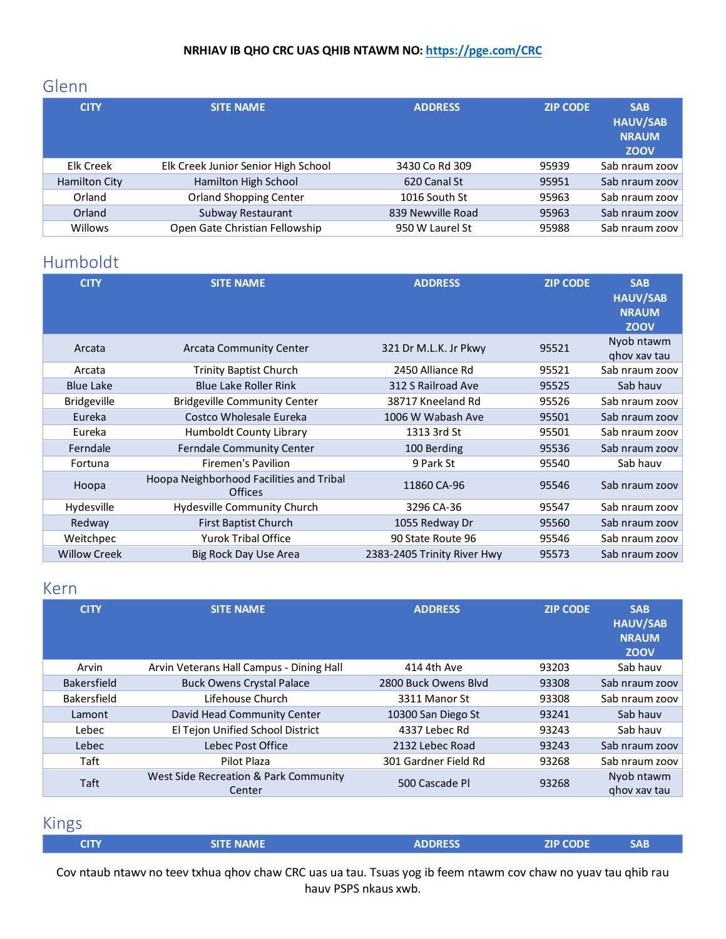### <span id="page-5-0"></span>Glenn

| <b>CITY</b>   | <b>SITE NAME</b>                    | <b>ADDRESS</b>    | <b>ZIP CODE</b> | <b>SAB</b><br><b>HAUV/SAB</b><br><b>NRAUM</b><br><b>ZOOV</b> |
|---------------|-------------------------------------|-------------------|-----------------|--------------------------------------------------------------|
| Elk Creek     | Elk Creek Junior Senior High School | 3430 Co Rd 309    | 95939           | Sab nraum zoov                                               |
| Hamilton City | Hamilton High School                | 620 Canal St      | 95951           | Sab nraum zoov                                               |
| Orland        | <b>Orland Shopping Center</b>       | 1016 South St     | 95963           | Sab nraum zoov                                               |
| Orland        | Subway Restaurant                   | 839 Newville Road | 95963           | Sab nraum zoov                                               |
| Willows       | Open Gate Christian Fellowship      | 950 W Laurel St   | 95988           | Sab nraum zoov                                               |

# <span id="page-5-1"></span>Humboldt

| <b>CITY</b>         | <b>SITE NAME</b>                                           | <b>ADDRESS</b>              | <b>ZIP CODE</b> | <b>SAB</b><br><b>HAUV/SAB</b><br><b>NRAUM</b><br><b>ZOOV</b> |
|---------------------|------------------------------------------------------------|-----------------------------|-----------------|--------------------------------------------------------------|
| Arcata              | <b>Arcata Community Center</b>                             | 321 Dr M.L.K. Jr Pkwy       | 95521           | Nyob ntawm<br>ghov xav tau                                   |
| Arcata              | <b>Trinity Baptist Church</b>                              | 2450 Alliance Rd            | 95521           | Sab nraum zoov                                               |
| <b>Blue Lake</b>    | <b>Blue Lake Roller Rink</b>                               | 312 S Railroad Ave          | 95525           | Sab hauv                                                     |
| <b>Bridgeville</b>  | <b>Bridgeville Community Center</b>                        | 38717 Kneeland Rd           | 95526           | Sab nraum zoov                                               |
| Eureka              | Costco Wholesale Eureka                                    | 1006 W Wabash Ave           | 95501           | Sab nraum zoov                                               |
| Eureka              | <b>Humboldt County Library</b>                             | 1313 3rd St                 | 95501           | Sab nraum zoov                                               |
| Ferndale            | Ferndale Community Center                                  | 100 Berding                 | 95536           | Sab nraum zoov                                               |
| Fortuna             | Firemen's Pavilion                                         | 9 Park St                   | 95540           | Sab hauv                                                     |
| Hoopa               | Hoopa Neighborhood Facilities and Tribal<br><b>Offices</b> | 11860 CA-96                 | 95546           | Sab nraum zoov                                               |
| Hydesville          | Hydesville Community Church                                | 3296 CA-36                  | 95547           | Sab nraum zoov                                               |
| Redway              | First Baptist Church                                       | 1055 Redway Dr              | 95560           | Sab nraum zoov                                               |
| Weitchpec           | <b>Yurok Tribal Office</b>                                 | 90 State Route 96           | 95546           | Sab nraum zoov                                               |
| <b>Willow Creek</b> | Big Rock Day Use Area                                      | 2383-2405 Trinity River Hwy | 95573           | Sab nraum zoov                                               |

### <span id="page-5-2"></span>Kern

| <b>CITY</b>        | <b>SITE NAME</b>                                | <b>ADDRESS</b>       | <b>ZIP CODE</b> | <b>SAB</b><br><b>HAUV/SAB</b><br><b>NRAUM</b><br><b>ZOOV</b> |
|--------------------|-------------------------------------------------|----------------------|-----------------|--------------------------------------------------------------|
| Arvin              | Arvin Veterans Hall Campus - Dining Hall        | 414 4th Ave          | 93203           | Sab hauv                                                     |
| <b>Bakersfield</b> | <b>Buck Owens Crystal Palace</b>                | 2800 Buck Owens Blyd | 93308           | Sab nraum zoov                                               |
| Bakersfield        | Lifehouse Church                                | 3311 Manor St        | 93308           | Sab nraum zoov                                               |
| Lamont             | David Head Community Center                     | 10300 San Diego St   | 93241           | Sab hauv                                                     |
| Lebec              | El Tejon Unified School District                | 4337 Lebec Rd        | 93243           | Sab hauv                                                     |
| Lebec              | Lebec Post Office                               | 2132 Lebec Road      | 93243           | Sab nraum zoov                                               |
| Taft               | Pilot Plaza                                     | 301 Gardner Field Rd | 93268           | Sab nraum zoov                                               |
| Taft               | West Side Recreation & Park Community<br>Center | 500 Cascade Pl       | 93268           | Nyob ntawm<br>ghov xay tau                                   |

# <span id="page-5-3"></span>Kings

| <b>CITY</b> | SITE NAME' | <b>ADDRESS</b> | <b>ZIP CODE</b> | <b>SAB</b> |
|-------------|------------|----------------|-----------------|------------|
|             |            |                |                 |            |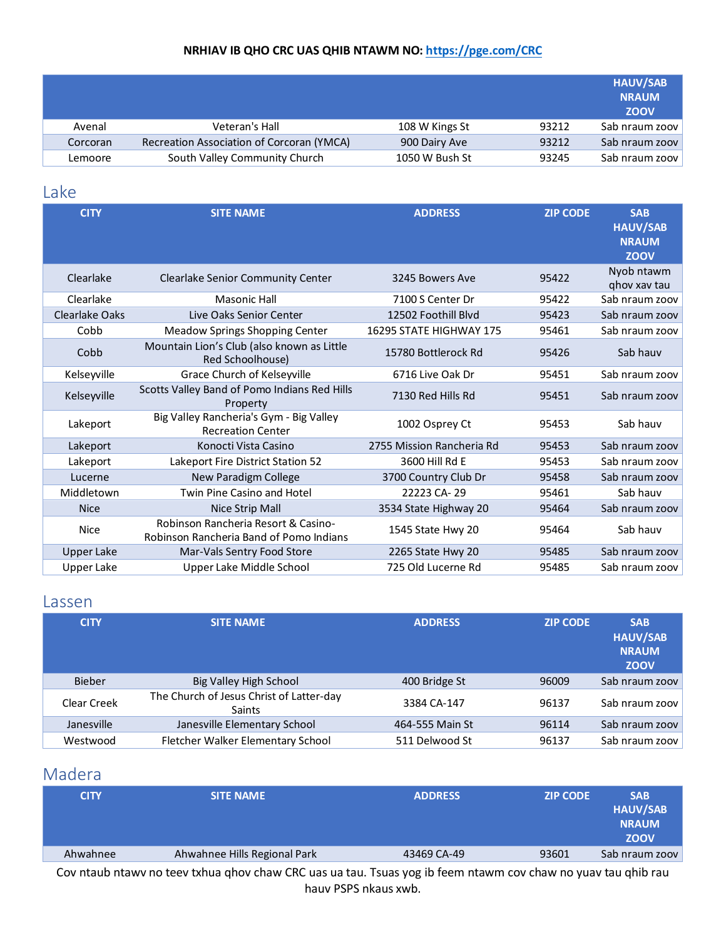|          |                                           |                |       | <b>HAUV/SAB</b><br><b>NRAUM</b><br><b>ZOOV</b> |
|----------|-------------------------------------------|----------------|-------|------------------------------------------------|
| Avenal   | Veteran's Hall                            | 108 W Kings St | 93212 | Sab nraum zoov                                 |
| Corcoran | Recreation Association of Corcoran (YMCA) | 900 Dairy Ave  | 93212 | Sab nraum zoov                                 |
| Lemoore  | South Valley Community Church             | 1050 W Bush St | 93245 | Sab nraum zoov                                 |

### <span id="page-6-0"></span>Lake

| <b>CITY</b>       | <b>SITE NAME</b>                                                               | <b>ADDRESS</b>            | <b>ZIP CODE</b> | <b>SAB</b><br><b>HAUV/SAB</b><br><b>NRAUM</b><br><b>ZOOV</b> |
|-------------------|--------------------------------------------------------------------------------|---------------------------|-----------------|--------------------------------------------------------------|
| Clearlake         | Clearlake Senior Community Center                                              | 3245 Bowers Ave           | 95422           | Nyob ntawm<br>qhov xav tau                                   |
| Clearlake         | <b>Masonic Hall</b>                                                            | 7100 S Center Dr          | 95422           | Sab nraum zoov                                               |
| Clearlake Oaks    | Live Oaks Senior Center                                                        | 12502 Foothill Blyd       | 95423           | Sab nraum zoov                                               |
| Cobb              | Meadow Springs Shopping Center                                                 | 16295 STATE HIGHWAY 175   | 95461           | Sab nraum zoov                                               |
| Cobb              | Mountain Lion's Club (also known as Little<br>Red Schoolhouse)                 | 15780 Bottlerock Rd       | 95426           | Sab hauv                                                     |
| Kelseyville       | Grace Church of Kelseyville                                                    | 6716 Live Oak Dr          | 95451           | Sab nraum zoov                                               |
| Kelseyville       | Scotts Valley Band of Pomo Indians Red Hills<br>Property                       | 7130 Red Hills Rd         | 95451           | Sab nraum zoov                                               |
| Lakeport          | Big Valley Rancheria's Gym - Big Valley<br><b>Recreation Center</b>            | 1002 Osprey Ct            | 95453           | Sab hauv                                                     |
| Lakeport          | Konocti Vista Casino                                                           | 2755 Mission Rancheria Rd | 95453           | Sab nraum zoov                                               |
| Lakeport          | Lakeport Fire District Station 52                                              | 3600 Hill Rd E            | 95453           | Sab nraum zoov                                               |
| Lucerne           | New Paradigm College                                                           | 3700 Country Club Dr      | 95458           | Sab nraum zoov                                               |
| Middletown        | Twin Pine Casino and Hotel                                                     | 22223 CA-29               | 95461           | Sab hauv                                                     |
| <b>Nice</b>       | Nice Strip Mall                                                                | 3534 State Highway 20     | 95464           | Sab nraum zoov                                               |
| <b>Nice</b>       | Robinson Rancheria Resort & Casino-<br>Robinson Rancheria Band of Pomo Indians | 1545 State Hwy 20         | 95464           | Sab hauv                                                     |
| <b>Upper Lake</b> | Mar-Vals Sentry Food Store                                                     | 2265 State Hwy 20         | 95485           | Sab nraum zoov                                               |
| <b>Upper Lake</b> | Upper Lake Middle School                                                       | 725 Old Lucerne Rd        | 95485           | Sab nraum zoov                                               |

#### <span id="page-6-1"></span>Lassen

| <b>CITY</b>   | <b>SITE NAME</b>                                   | <b>ADDRESS</b>  | <b>ZIP CODE</b> | <b>SAB</b><br><b>HAUV/SAB</b><br><b>NRAUM</b><br><b>ZOOV</b> |
|---------------|----------------------------------------------------|-----------------|-----------------|--------------------------------------------------------------|
| <b>Bieber</b> | Big Valley High School                             | 400 Bridge St   | 96009           | Sab nraum zoov                                               |
| Clear Creek   | The Church of Jesus Christ of Latter-day<br>Saints | 3384 CA-147     | 96137           | Sab nraum zoov                                               |
| Janesville    | Janesville Elementary School                       | 464-555 Main St | 96114           | Sab nraum zoov                                               |
| Westwood      | Fletcher Walker Elementary School                  | 511 Delwood St  | 96137           | Sab nraum zoov                                               |

# <span id="page-6-2"></span>Madera

| <b>CITY</b> | <b>SITE NAME</b>             | <b>ADDRESS</b> | <b>ZIP CODE</b> | <b>SAB</b><br><b>HAUV/SAB</b><br><b>NRAUM</b><br><b>ZOOV</b> |
|-------------|------------------------------|----------------|-----------------|--------------------------------------------------------------|
| Ahwahnee    | Ahwahnee Hills Regional Park | 43469 CA-49    | 93601           | Sab nraum zoov                                               |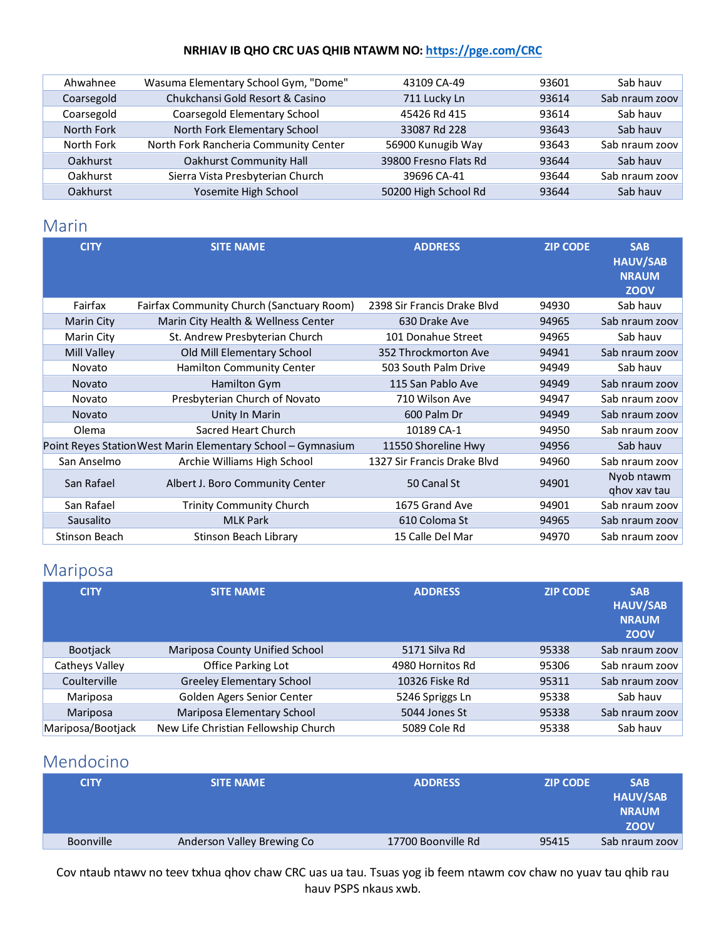| Ahwahnee   | Wasuma Elementary School Gym, "Dome"  | 43109 CA-49           | 93601 | Sab hauv       |
|------------|---------------------------------------|-----------------------|-------|----------------|
| Coarsegold | Chukchansi Gold Resort & Casino       | 711 Lucky Ln          | 93614 | Sab nraum zoov |
| Coarsegold | Coarsegold Elementary School          | 45426 Rd 415          | 93614 | Sab hauv       |
| North Fork | North Fork Elementary School          | 33087 Rd 228          | 93643 | Sab hauv       |
| North Fork | North Fork Rancheria Community Center | 56900 Kunugib Way     | 93643 | Sab nraum zoov |
| Oakhurst   | <b>Oakhurst Community Hall</b>        | 39800 Fresno Flats Rd | 93644 | Sab hauv       |
| Oakhurst   | Sierra Vista Presbyterian Church      | 39696 CA-41           | 93644 | Sab nraum zoov |
| Oakhurst   | Yosemite High School                  | 50200 High School Rd  | 93644 | Sab hauv       |

### <span id="page-7-0"></span>Marin

| <b>CITY</b>        | <b>SITE NAME</b>                                             | <b>ADDRESS</b>              | <b>ZIP CODE</b> | <b>SAB</b><br><b>HAUV/SAB</b><br><b>NRAUM</b><br><b>ZOOV</b> |
|--------------------|--------------------------------------------------------------|-----------------------------|-----------------|--------------------------------------------------------------|
| Fairfax            | Fairfax Community Church (Sanctuary Room)                    | 2398 Sir Francis Drake Blyd | 94930           | Sab hauv                                                     |
| <b>Marin City</b>  | Marin City Health & Wellness Center                          | 630 Drake Ave               | 94965           | Sab nraum zoov                                               |
| Marin City         | St. Andrew Presbyterian Church                               | 101 Donahue Street          | 94965           | Sab hauv                                                     |
| <b>Mill Valley</b> | Old Mill Elementary School                                   | 352 Throckmorton Ave        | 94941           | Sab nraum zoov                                               |
| Novato             | Hamilton Community Center                                    | 503 South Palm Drive        | 94949           | Sab hauv                                                     |
| Novato             | Hamilton Gym                                                 | 115 San Pablo Ave           | 94949           | Sab nraum zoov                                               |
| Novato             | Presbyterian Church of Novato                                | 710 Wilson Ave              | 94947           | Sab nraum zoov                                               |
| <b>Novato</b>      | Unity In Marin                                               | 600 Palm Dr                 | 94949           | Sab nraum zoov                                               |
| Olema              | Sacred Heart Church                                          | 10189 CA-1                  | 94950           | Sab nraum zoov                                               |
|                    | Point Reyes Station West Marin Elementary School - Gymnasium | 11550 Shoreline Hwy         | 94956           | Sab hauv                                                     |
| San Anselmo        | Archie Williams High School                                  | 1327 Sir Francis Drake Blyd | 94960           | Sab nraum zoov                                               |
| San Rafael         | Albert J. Boro Community Center                              | 50 Canal St                 | 94901           | Nyob ntawm<br>ghov xav tau                                   |
| San Rafael         | <b>Trinity Community Church</b>                              | 1675 Grand Ave              | 94901           | Sab nraum zoov                                               |
| Sausalito          | <b>MLK Park</b>                                              | 610 Coloma St               | 94965           | Sab nraum zoov                                               |
| Stinson Beach      | Stinson Beach Library                                        | 15 Calle Del Mar            | 94970           | Sab nraum zoov                                               |
|                    |                                                              |                             |                 |                                                              |

### <span id="page-7-1"></span>Mariposa

| <b>CITY</b>       | <b>SITE NAME</b>                     | <b>ADDRESS</b>   | <b>ZIP CODE</b> | <b>SAB</b><br><b>HAUV/SAB</b><br><b>NRAUM</b><br><b>ZOOV</b> |
|-------------------|--------------------------------------|------------------|-----------------|--------------------------------------------------------------|
| <b>Bootjack</b>   | Mariposa County Unified School       | 5171 Silva Rd    | 95338           | Sab nraum zoov                                               |
| Catheys Valley    | Office Parking Lot                   | 4980 Hornitos Rd | 95306           | Sab nraum zoov                                               |
| Coulterville      | <b>Greeley Elementary School</b>     | 10326 Fiske Rd   | 95311           | Sab nraum zoov                                               |
| Mariposa          | Golden Agers Senior Center           | 5246 Spriggs Ln  | 95338           | Sab hauv                                                     |
| Mariposa          | Mariposa Elementary School           | 5044 Jones St    | 95338           | Sab nraum zoov                                               |
| Mariposa/Bootjack | New Life Christian Fellowship Church | 5089 Cole Rd     | 95338           | Sab hauv                                                     |

# <span id="page-7-2"></span>Mendocino

| <b>CITY</b>      | <b>SITE NAME</b>           | <b>ADDRESS</b>     | <b>ZIP CODE</b> | <b>SAB</b><br><b>HAUV/SAB</b><br><b>NRAUM</b><br><b>ZOOV</b> |
|------------------|----------------------------|--------------------|-----------------|--------------------------------------------------------------|
| <b>Boonville</b> | Anderson Valley Brewing Co | 17700 Boonville Rd | 95415           | Sab nraum zoov                                               |
|                  |                            |                    |                 |                                                              |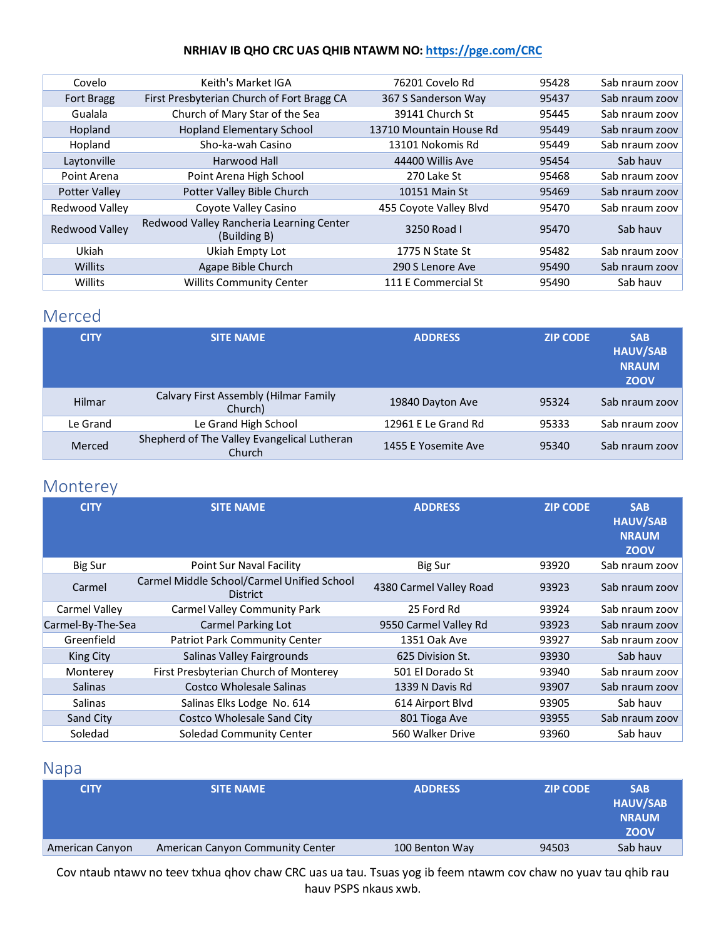| Covelo            | Keith's Market IGA                                       | 76201 Covelo Rd         | 95428 | Sab nraum zoov |
|-------------------|----------------------------------------------------------|-------------------------|-------|----------------|
| <b>Fort Bragg</b> | First Presbyterian Church of Fort Bragg CA               | 367 S Sanderson Way     | 95437 | Sab nraum zoov |
| Gualala           | Church of Mary Star of the Sea                           | 39141 Church St         | 95445 | Sab nraum zoov |
| Hopland           | <b>Hopland Elementary School</b>                         | 13710 Mountain House Rd | 95449 | Sab nraum zoov |
| Hopland           | Sho-ka-wah Casino                                        | 13101 Nokomis Rd        | 95449 | Sab nraum zoov |
| Laytonville       | Harwood Hall                                             | 44400 Willis Ave        | 95454 | Sab hauv       |
| Point Arena       | Point Arena High School                                  | 270 Lake St             | 95468 | Sab nraum zoov |
| Potter Valley     | Potter Valley Bible Church                               | 10151 Main St           | 95469 | Sab nraum zoov |
| Redwood Valley    | Coyote Valley Casino                                     | 455 Coyote Valley Blvd  | 95470 | Sab nraum zoov |
| Redwood Valley    | Redwood Valley Rancheria Learning Center<br>(Building B) | 3250 Road I             | 95470 | Sab hauv       |
| Ukiah             | Ukiah Empty Lot                                          | 1775 N State St         | 95482 | Sab nraum zoov |
| Willits           | Agape Bible Church                                       | 290 S Lenore Ave        | 95490 | Sab nraum zoov |
| Willits           | <b>Willits Community Center</b>                          | 111 E Commercial St     | 95490 | Sab hauv       |

### <span id="page-8-0"></span>Merced

| <b>CITY</b> | <b>SITE NAME</b>                                      | <b>ADDRESS</b>      | <b>ZIP CODE</b> | <b>SAB</b><br><b>HAUV/SAB</b><br><b>NRAUM</b><br><b>ZOOV</b> |
|-------------|-------------------------------------------------------|---------------------|-----------------|--------------------------------------------------------------|
| Hilmar      | Calvary First Assembly (Hilmar Family<br>Church)      | 19840 Dayton Ave    | 95324           | Sab nraum zoov                                               |
| Le Grand    | Le Grand High School                                  | 12961 E Le Grand Rd | 95333           | Sab nraum zoov                                               |
| Merced      | Shepherd of The Valley Evangelical Lutheran<br>Church | 1455 E Yosemite Ave | 95340           | Sab nraum zoov                                               |

# <span id="page-8-1"></span>Monterey

| <b>CITY</b>       | <b>SITE NAME</b>                                              | <b>ADDRESS</b>          | <b>ZIP CODE</b> | <b>SAB</b><br><b>HAUV/SAB</b><br><b>NRAUM</b><br><b>ZOOV</b> |
|-------------------|---------------------------------------------------------------|-------------------------|-----------------|--------------------------------------------------------------|
| Big Sur           | Point Sur Naval Facility                                      | Big Sur                 | 93920           | Sab nraum zoov                                               |
| Carmel            | Carmel Middle School/Carmel Unified School<br><b>District</b> | 4380 Carmel Valley Road | 93923           | Sab nraum zoov                                               |
| Carmel Valley     | Carmel Valley Community Park                                  | 25 Ford Rd              | 93924           | Sab nraum zoov                                               |
| Carmel-By-The-Sea | <b>Carmel Parking Lot</b>                                     | 9550 Carmel Valley Rd   | 93923           | Sab nraum zoov                                               |
| Greenfield        | <b>Patriot Park Community Center</b>                          | 1351 Oak Ave            | 93927           | Sab nraum zoov                                               |
| King City         | Salinas Valley Fairgrounds                                    | 625 Division St.        | 93930           | Sab hauv                                                     |
| Monterey          | First Presbyterian Church of Monterey                         | 501 El Dorado St        | 93940           | Sab nraum zoov                                               |
| <b>Salinas</b>    | Costco Wholesale Salinas                                      | 1339 N Davis Rd         | 93907           | Sab nraum zoov                                               |
| Salinas           | Salinas Elks Lodge No. 614                                    | 614 Airport Blvd        | 93905           | Sab hauv                                                     |
| Sand City         | Costco Wholesale Sand City                                    | 801 Tioga Ave           | 93955           | Sab nraum zoov                                               |
| Soledad           | Soledad Community Center                                      | 560 Walker Drive        | 93960           | Sab hauv                                                     |

# <span id="page-8-2"></span>Napa

| <b>CITY</b>     | <b>SITE NAME</b>                 | <b>ADDRESS</b> | <b>ZIP CODE</b> | <b>SAB</b><br><b>HAUV/SAB</b><br><b>NRAUM</b><br><b>ZOOV</b> |
|-----------------|----------------------------------|----------------|-----------------|--------------------------------------------------------------|
| American Canyon | American Canyon Community Center | 100 Benton Way | 94503           | Sab hauv                                                     |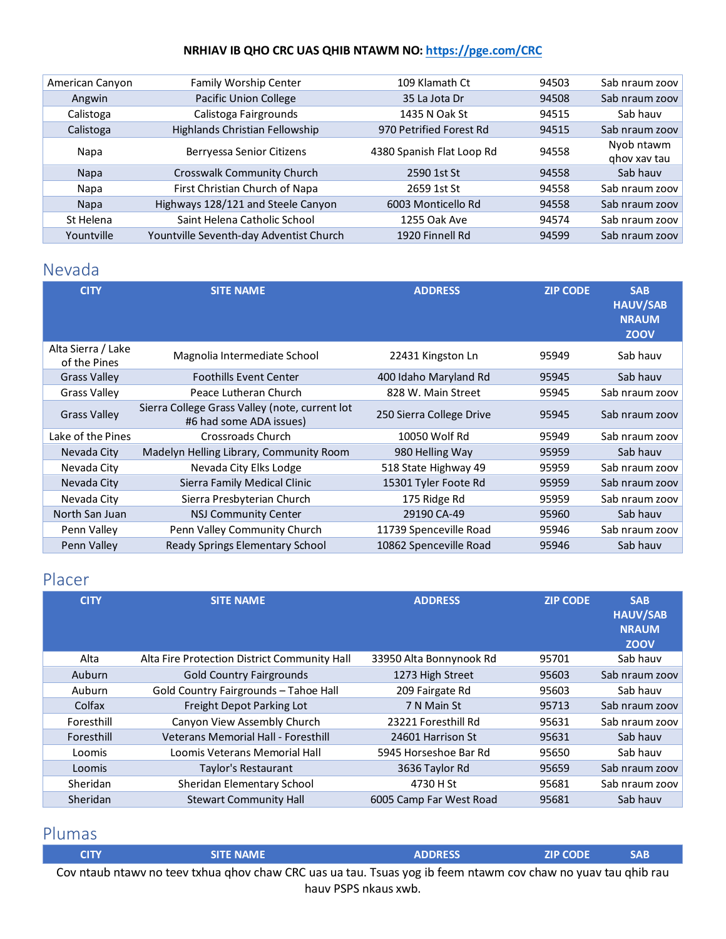| American Canyon | Family Worship Center                   | 109 Klamath Ct            | 94503 | Sab nraum zoov             |
|-----------------|-----------------------------------------|---------------------------|-------|----------------------------|
| Angwin          | <b>Pacific Union College</b>            | 35 La Jota Dr             | 94508 | Sab nraum zoov             |
| Calistoga       | Calistoga Fairgrounds                   | 1435 N Oak St             | 94515 | Sab hauv                   |
| Calistoga       | Highlands Christian Fellowship          | 970 Petrified Forest Rd   | 94515 | Sab nraum zoov             |
| Napa            | Berryessa Senior Citizens               | 4380 Spanish Flat Loop Rd | 94558 | Nyob ntawm<br>ghov xav tau |
| <b>Napa</b>     | Crosswalk Community Church              | 2590 1st St               | 94558 | Sab hauv                   |
| Napa            | First Christian Church of Napa          | 2659 1st St               | 94558 | Sab nraum zoov             |
| <b>Napa</b>     | Highways 128/121 and Steele Canyon      | 6003 Monticello Rd        | 94558 | Sab nraum zoov             |
| St Helena       | Saint Helena Catholic School            | 1255 Oak Ave              | 94574 | Sab nraum zoov             |
| Yountville      | Yountville Seventh-day Adventist Church | 1920 Finnell Rd           | 94599 | Sab nraum zoov             |
|                 |                                         |                           |       |                            |

# <span id="page-9-0"></span>Nevada

| <b>CITY</b>                        | <b>SITE NAME</b>                                                          | <b>ADDRESS</b>           | <b>ZIP CODE</b> | <b>SAB</b><br><b>HAUV/SAB</b><br><b>NRAUM</b><br><b>ZOOV</b> |
|------------------------------------|---------------------------------------------------------------------------|--------------------------|-----------------|--------------------------------------------------------------|
| Alta Sierra / Lake<br>of the Pines | Magnolia Intermediate School                                              | 22431 Kingston Ln        | 95949           | Sab hauv                                                     |
| <b>Grass Valley</b>                | <b>Foothills Event Center</b>                                             | 400 Idaho Maryland Rd    | 95945           | Sab hauv                                                     |
| <b>Grass Valley</b>                | Peace Lutheran Church                                                     | 828 W. Main Street       | 95945           | Sab nraum zoov                                               |
| <b>Grass Valley</b>                | Sierra College Grass Valley (note, current lot<br>#6 had some ADA issues) | 250 Sierra College Drive | 95945           | Sab nraum zoov                                               |
| Lake of the Pines                  | Crossroads Church                                                         | 10050 Wolf Rd            | 95949           | Sab nraum zoov                                               |
| Nevada City                        | Madelyn Helling Library, Community Room                                   | 980 Helling Way          | 95959           | Sab hauv                                                     |
| Nevada City                        | Nevada City Elks Lodge                                                    | 518 State Highway 49     | 95959           | Sab nraum zoov                                               |
| Nevada City                        | Sierra Family Medical Clinic                                              | 15301 Tyler Foote Rd     | 95959           | Sab nraum zoov                                               |
| Nevada City                        | Sierra Presbyterian Church                                                | 175 Ridge Rd             | 95959           | Sab nraum zoov                                               |
| North San Juan                     | <b>NSJ Community Center</b>                                               | 29190 CA-49              | 95960           | Sab hauv                                                     |
| Penn Valley                        | Penn Valley Community Church                                              | 11739 Spenceville Road   | 95946           | Sab nraum zoov                                               |
| Penn Valley                        | Ready Springs Elementary School                                           | 10862 Spenceville Road   | 95946           | Sab hauv                                                     |

# <span id="page-9-1"></span>Placer

| <b>CITY</b> | <b>SITE NAME</b>                             | <b>ADDRESS</b>          | <b>ZIP CODE</b> | <b>SAB</b><br><b>HAUV/SAB</b><br><b>NRAUM</b><br><b>ZOOV</b> |
|-------------|----------------------------------------------|-------------------------|-----------------|--------------------------------------------------------------|
| Alta        | Alta Fire Protection District Community Hall | 33950 Alta Bonnynook Rd | 95701           | Sab hauv                                                     |
| Auburn      | <b>Gold Country Fairgrounds</b>              | 1273 High Street        | 95603           | Sab nraum zoov                                               |
| Auburn      | Gold Country Fairgrounds - Tahoe Hall        | 209 Fairgate Rd         | 95603           | Sab hauv                                                     |
| Colfax      | Freight Depot Parking Lot                    | 7 N Main St             | 95713           | Sab nraum zoov                                               |
| Foresthill  | Canyon View Assembly Church                  | 23221 Foresthill Rd     | 95631           | Sab nraum zoov                                               |
| Foresthill  | Veterans Memorial Hall - Foresthill          | 24601 Harrison St       | 95631           | Sab hauv                                                     |
| Loomis      | Loomis Veterans Memorial Hall                | 5945 Horseshoe Bar Rd   | 95650           | Sab hauv                                                     |
| Loomis      | Taylor's Restaurant                          | 3636 Taylor Rd          | 95659           | Sab nraum zoov                                               |
| Sheridan    | Sheridan Elementary School                   | 4730 H St               | 95681           | Sab nraum zoov                                               |
| Sheridan    | <b>Stewart Community Hall</b>                | 6005 Camp Far West Road | 95681           | Sab hauv                                                     |

# <span id="page-9-2"></span>Plumas

| <b>CITY</b> | SITE NAME | <b>ADDRESS</b>                                                                                                                                | <b>ZIP CODE</b> |  |
|-------------|-----------|-----------------------------------------------------------------------------------------------------------------------------------------------|-----------------|--|
|             |           | $\alpha$ and the second seconds the second $\alpha$ are second to the $\alpha$ seconds that the second seconds the second seconds of $\alpha$ |                 |  |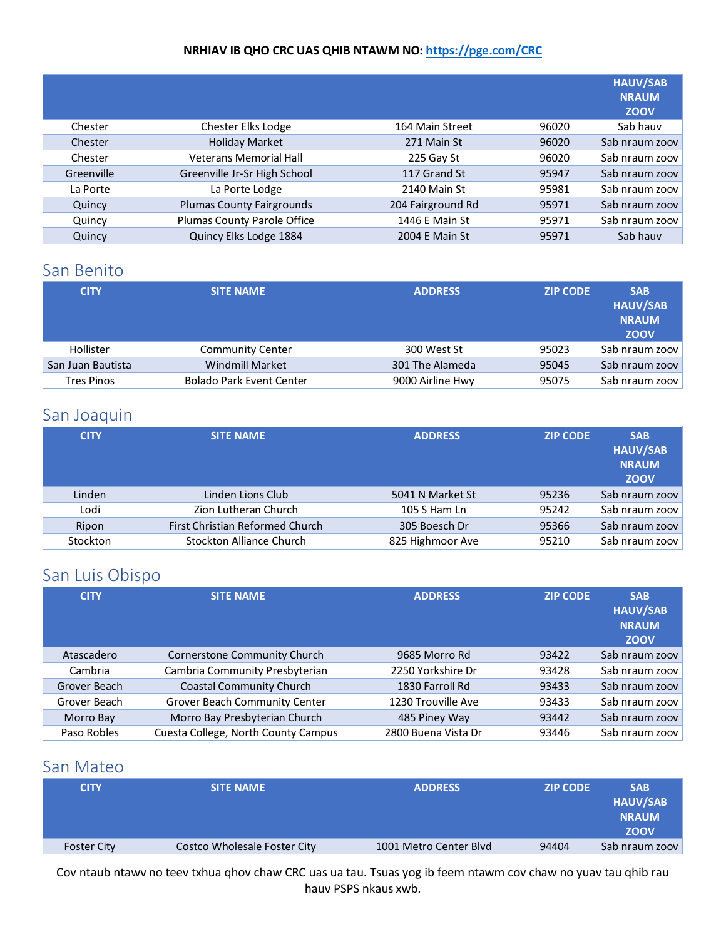|                                  |                   |       | <b>HAUV/SAB</b><br><b>NRAUM</b><br><b>ZOOV</b> |
|----------------------------------|-------------------|-------|------------------------------------------------|
| Chester Elks Lodge               | 164 Main Street   | 96020 | Sab hauv                                       |
| <b>Holiday Market</b>            | 271 Main St       | 96020 | Sab nraum zoov                                 |
| <b>Veterans Memorial Hall</b>    | 225 Gay St        | 96020 | Sab nraum zoov                                 |
| Greenville Jr-Sr High School     | 117 Grand St      | 95947 | Sab nraum zoov                                 |
| La Porte Lodge                   | 2140 Main St      | 95981 | Sab nraum zoov                                 |
| <b>Plumas County Fairgrounds</b> | 204 Fairground Rd | 95971 | Sab nraum zoov                                 |
| Plumas County Parole Office      | 1446 E Main St    | 95971 | Sab nraum zoov                                 |
| Quincy Elks Lodge 1884           | 2004 E Main St    | 95971 | Sab hauv                                       |
|                                  |                   |       |                                                |

# <span id="page-10-0"></span>San Benito

| <b>CITY</b>       | <b>SITE NAME</b>                | <b>ADDRESS</b>   | <b>ZIP CODE</b> | <b>SAB</b><br><b>HAUV/SAB</b><br><b>NRAUM</b><br><b>ZOOV</b> |
|-------------------|---------------------------------|------------------|-----------------|--------------------------------------------------------------|
| Hollister         | <b>Community Center</b>         | 300 West St      | 95023           | Sab nraum zoov                                               |
| San Juan Bautista | <b>Windmill Market</b>          | 301 The Alameda  | 95045           | Sab nraum zoov                                               |
| <b>Tres Pinos</b> | <b>Bolado Park Event Center</b> | 9000 Airline Hwy | 95075           | Sab nraum zoov                                               |

### <span id="page-10-1"></span>San Joaquin

| <b>CITY</b> | <b>SITE NAME</b>                | <b>ADDRESS</b>   | <b>ZIP CODE</b> | <b>SAB</b><br><b>HAUV/SAB</b><br><b>NRAUM</b><br><b>ZOOV</b> |
|-------------|---------------------------------|------------------|-----------------|--------------------------------------------------------------|
| Linden      | Linden Lions Club               | 5041 N Market St | 95236           | Sab nraum zoov                                               |
| Lodi        | Zion Lutheran Church            | 105 S Ham Ln     | 95242           | Sab nraum zoov                                               |
| Ripon       | First Christian Reformed Church | 305 Boesch Dr    | 95366           | Sab nraum zoov                                               |
| Stockton    | <b>Stockton Alliance Church</b> | 825 Highmoor Ave | 95210           | Sab nraum zoov                                               |

# <span id="page-10-2"></span>San Luis Obispo

| <b>CITY</b>  | <b>SITE NAME</b>                     | <b>ADDRESS</b>      | <b>ZIP CODE</b> | <b>SAB</b><br><b>HAUV/SAB</b><br><b>NRAUM</b><br><b>ZOOV</b> |
|--------------|--------------------------------------|---------------------|-----------------|--------------------------------------------------------------|
| Atascadero   | Cornerstone Community Church         | 9685 Morro Rd       | 93422           | Sab nraum zoov                                               |
| Cambria      | Cambria Community Presbyterian       | 2250 Yorkshire Dr   | 93428           | Sab nraum zoov                                               |
| Grover Beach | <b>Coastal Community Church</b>      | 1830 Farroll Rd     | 93433           | Sab nraum zoov                                               |
| Grover Beach | <b>Grover Beach Community Center</b> | 1230 Trouville Ave  | 93433           | Sab nraum zoov                                               |
| Morro Bay    | Morro Bay Presbyterian Church        | 485 Piney Way       | 93442           | Sab nraum zoov                                               |
| Paso Robles  | Cuesta College, North County Campus  | 2800 Buena Vista Dr | 93446           | Sab nraum zoov                                               |

### <span id="page-10-3"></span>San Mateo

| <b>CITY</b>        | <b>SITE NAME</b>             | <b>ADDRESS</b>         | <b>ZIP CODE</b> | <b>SAB</b><br><b>HAUV/SAB</b><br><b>NRAUM</b><br><b>ZOOV</b> |
|--------------------|------------------------------|------------------------|-----------------|--------------------------------------------------------------|
| <b>Foster City</b> | Costco Wholesale Foster City | 1001 Metro Center Blyd | 94404           | Sab nraum zoov                                               |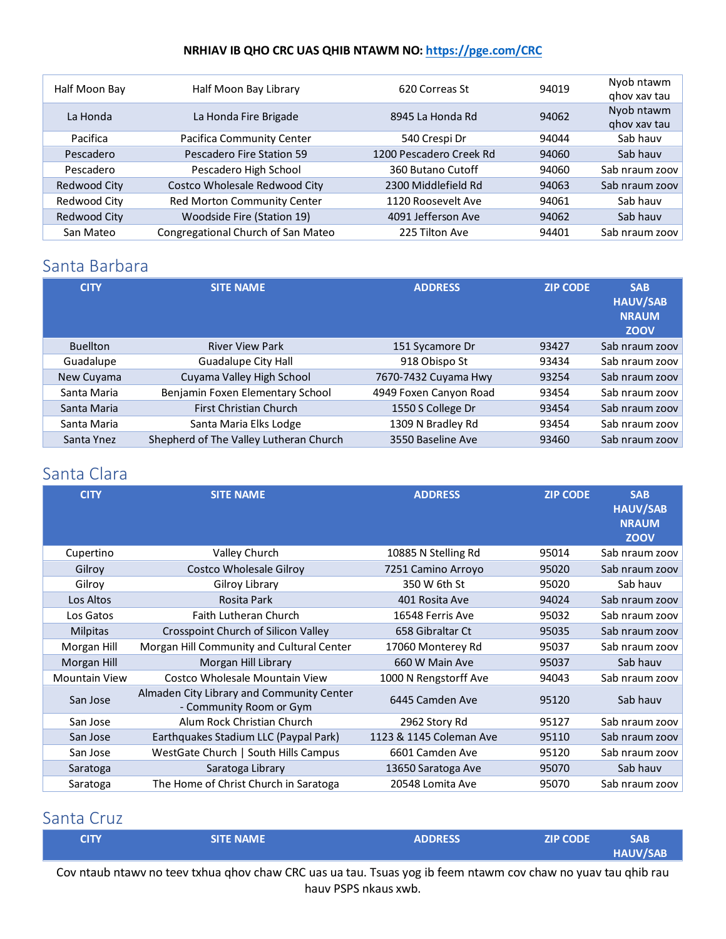| Half Moon Bay | Half Moon Bay Library              | 620 Correas St          | 94019 | Nyob ntawm<br>ghov xav tau |
|---------------|------------------------------------|-------------------------|-------|----------------------------|
| La Honda      | La Honda Fire Brigade              | 8945 La Honda Rd        | 94062 | Nyob ntawm<br>ghov xav tau |
| Pacifica      | Pacifica Community Center          | 540 Crespi Dr           | 94044 | Sab hauv                   |
| Pescadero     | Pescadero Fire Station 59          | 1200 Pescadero Creek Rd | 94060 | Sab hauv                   |
| Pescadero     | Pescadero High School              | 360 Butano Cutoff       | 94060 | Sab nraum zoov             |
| Redwood City  | Costco Wholesale Redwood City      | 2300 Middlefield Rd     | 94063 | Sab nraum zoov             |
| Redwood City  | Red Morton Community Center        | 1120 Roosevelt Ave      | 94061 | Sab hauv                   |
| Redwood City  | Woodside Fire (Station 19)         | 4091 Jefferson Ave      | 94062 | Sab hauv                   |
| San Mateo     | Congregational Church of San Mateo | 225 Tilton Ave          | 94401 | Sab nraum zoov             |
|               |                                    |                         |       |                            |

# <span id="page-11-0"></span>Santa Barbara

| <b>CITY</b>     | <b>SITE NAME</b>                       | <b>ADDRESS</b>         | <b>ZIP CODE</b> | <b>SAB</b><br><b>HAUV/SAB</b><br><b>NRAUM</b><br><b>ZOOV</b> |
|-----------------|----------------------------------------|------------------------|-----------------|--------------------------------------------------------------|
| <b>Buellton</b> | <b>River View Park</b>                 | 151 Sycamore Dr        | 93427           | Sab nraum zoov                                               |
| Guadalupe       | <b>Guadalupe City Hall</b>             | 918 Obispo St          | 93434           | Sab nraum zoov                                               |
| New Cuyama      | Cuyama Valley High School              | 7670-7432 Cuyama Hwy   | 93254           | Sab nraum zoov                                               |
| Santa Maria     | Benjamin Foxen Elementary School       | 4949 Foxen Canyon Road | 93454           | Sab nraum zoov                                               |
| Santa Maria     | First Christian Church                 | 1550 S College Dr      | 93454           | Sab nraum zoov                                               |
| Santa Maria     | Santa Maria Elks Lodge                 | 1309 N Bradley Rd      | 93454           | Sab nraum zoov                                               |
| Santa Ynez      | Shepherd of The Valley Lutheran Church | 3550 Baseline Ave      | 93460           | Sab nraum zoov                                               |

# <span id="page-11-1"></span>Santa Clara

| <b>CITY</b>     | <b>SITE NAME</b>                                                     | <b>ADDRESS</b>          | <b>ZIP CODE</b> | <b>SAB</b><br><b>HAUV/SAB</b><br><b>NRAUM</b><br><b>ZOOV</b> |
|-----------------|----------------------------------------------------------------------|-------------------------|-----------------|--------------------------------------------------------------|
| Cupertino       | Valley Church                                                        | 10885 N Stelling Rd     | 95014           | Sab nraum zoov                                               |
| Gilroy          | Costco Wholesale Gilroy                                              | 7251 Camino Arroyo      | 95020           | Sab nraum zoov                                               |
| Gilroy          | Gilroy Library                                                       | 350 W 6th St            | 95020           | Sab hauv                                                     |
| Los Altos       | Rosita Park                                                          | 401 Rosita Ave          | 94024           | Sab nraum zoov                                               |
| Los Gatos       | Faith Lutheran Church                                                | 16548 Ferris Ave        | 95032           | Sab nraum zoov                                               |
| <b>Milpitas</b> | Crosspoint Church of Silicon Valley                                  | 658 Gibraltar Ct        | 95035           | Sab nraum zoov                                               |
| Morgan Hill     | Morgan Hill Community and Cultural Center                            | 17060 Monterey Rd       | 95037           | Sab nraum zoov                                               |
| Morgan Hill     | Morgan Hill Library                                                  | 660 W Main Ave          | 95037           | Sab hauv                                                     |
| Mountain View   | Costco Wholesale Mountain View                                       | 1000 N Rengstorff Ave   | 94043           | Sab nraum zoov                                               |
| San Jose        | Almaden City Library and Community Center<br>- Community Room or Gym | 6445 Camden Ave         | 95120           | Sab hauv                                                     |
| San Jose        | Alum Rock Christian Church                                           | 2962 Story Rd           | 95127           | Sab nraum zoov                                               |
| San Jose        | Earthquakes Stadium LLC (Paypal Park)                                | 1123 & 1145 Coleman Ave | 95110           | Sab nraum zoov                                               |
| San Jose        | WestGate Church   South Hills Campus                                 | 6601 Camden Ave         | 95120           | Sab nraum zoov                                               |
| Saratoga        | Saratoga Library                                                     | 13650 Saratoga Ave      | 95070           | Sab hauv                                                     |
| Saratoga        | The Home of Christ Church in Saratoga                                | 20548 Lomita Ave        | 95070           | Sab nraum zoov                                               |

### <span id="page-11-2"></span>Santa Cruz

| <b>CITY</b> | <b>SITE NAME</b> | <b>ADDRESS</b>                                                                                                  | <b>ZIP CODE</b> | <b>SAB</b><br>HAUV/SAB |
|-------------|------------------|-----------------------------------------------------------------------------------------------------------------|-----------------|------------------------|
|             |                  | the contract of the contract of the contract of the contract of the contract of the contract of the contract of |                 | .                      |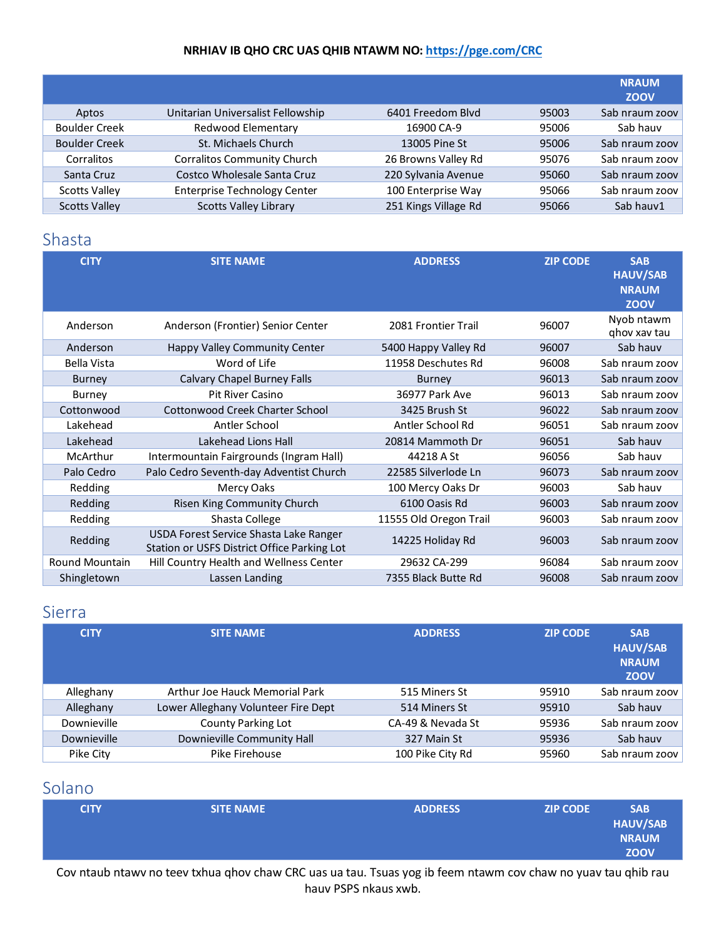|                      |                                     |                      |       | <b>NRAUM</b><br><b>ZOOV</b> |
|----------------------|-------------------------------------|----------------------|-------|-----------------------------|
| Aptos                | Unitarian Universalist Fellowship   | 6401 Freedom Blvd    | 95003 | Sab nraum zoov              |
| <b>Boulder Creek</b> | Redwood Elementary                  | 16900 CA-9           | 95006 | Sab hauv                    |
| <b>Boulder Creek</b> | St. Michaels Church                 | 13005 Pine St        | 95006 | Sab nraum zoov              |
| Corralitos           | <b>Corralitos Community Church</b>  | 26 Browns Valley Rd  | 95076 | Sab nraum zoov              |
| Santa Cruz           | Costco Wholesale Santa Cruz         | 220 Sylvania Avenue  | 95060 | Sab nraum zoov              |
| <b>Scotts Valley</b> | <b>Enterprise Technology Center</b> | 100 Enterprise Way   | 95066 | Sab nraum zoov              |
| <b>Scotts Valley</b> | <b>Scotts Valley Library</b>        | 251 Kings Village Rd | 95066 | Sab hauv1                   |

### <span id="page-12-0"></span>Shasta

| <b>CITY</b>           | <b>SITE NAME</b>                                                                      | <b>ADDRESS</b>         | <b>ZIP CODE</b> | <b>SAB</b><br><b>HAUV/SAB</b><br><b>NRAUM</b><br><b>ZOOV</b> |
|-----------------------|---------------------------------------------------------------------------------------|------------------------|-----------------|--------------------------------------------------------------|
| Anderson              | Anderson (Frontier) Senior Center                                                     | 2081 Frontier Trail    | 96007           | Nyob ntawm<br>ghov xav tau                                   |
| Anderson              | Happy Valley Community Center                                                         | 5400 Happy Valley Rd   | 96007           | Sab hauv                                                     |
| Bella Vista           | Word of Life                                                                          | 11958 Deschutes Rd     | 96008           | Sab nraum zoov                                               |
| <b>Burney</b>         | Calvary Chapel Burney Falls                                                           | <b>Burney</b>          | 96013           | Sab nraum zoov                                               |
| Burney                | <b>Pit River Casino</b>                                                               | 36977 Park Ave         | 96013           | Sab nraum zoov                                               |
| Cottonwood            | Cottonwood Creek Charter School                                                       | 3425 Brush St          | 96022           | Sab nraum zoov                                               |
| Lakehead              | Antler School                                                                         | Antler School Rd       | 96051           | Sab nraum zoov                                               |
| Lakehead              | Lakehead Lions Hall                                                                   | 20814 Mammoth Dr       | 96051           | Sab hauv                                                     |
| McArthur              | Intermountain Fairgrounds (Ingram Hall)                                               | 44218 A St             | 96056           | Sab hauv                                                     |
| Palo Cedro            | Palo Cedro Seventh-day Adventist Church                                               | 22585 Silverlode Ln    | 96073           | Sab nraum zoov                                               |
| Redding               | Mercy Oaks                                                                            | 100 Mercy Oaks Dr      | 96003           | Sab hauv                                                     |
| Redding               | Risen King Community Church                                                           | 6100 Oasis Rd          | 96003           | Sab nraum zoov                                               |
| Redding               | Shasta College                                                                        | 11555 Old Oregon Trail | 96003           | Sab nraum zoov                                               |
| Redding               | USDA Forest Service Shasta Lake Ranger<br>Station or USFS District Office Parking Lot | 14225 Holiday Rd       | 96003           | Sab nraum zoov                                               |
| <b>Round Mountain</b> | Hill Country Health and Wellness Center                                               | 29632 CA-299           | 96084           | Sab nraum zoov                                               |
| Shingletown           | Lassen Landing                                                                        | 7355 Black Butte Rd    | 96008           | Sab nraum zoov                                               |

### <span id="page-12-1"></span>Sierra

| <b>CITY</b> | <b>SITE NAME</b>                    | <b>ADDRESS</b>    | <b>ZIP CODE</b> | <b>SAB</b><br><b>HAUV/SAB</b><br><b>NRAUM</b><br><b>ZOOV</b> |
|-------------|-------------------------------------|-------------------|-----------------|--------------------------------------------------------------|
| Alleghany   | Arthur Joe Hauck Memorial Park      | 515 Miners St     | 95910           | Sab nraum zoov                                               |
| Alleghany   | Lower Alleghany Volunteer Fire Dept | 514 Miners St     | 95910           | Sab hauv                                                     |
| Downieville | County Parking Lot                  | CA-49 & Nevada St | 95936           | Sab nraum zoov                                               |
| Downieville | Downieville Community Hall          | 327 Main St       | 95936           | Sab hauv                                                     |
| Pike City   | Pike Firehouse                      | 100 Pike City Rd  | 95960           | Sab nraum zoov                                               |

### <span id="page-12-2"></span>Solano

| <b>CITY</b> | <b>SITE NAME</b> | <b>ADDRESS</b> | <b>ZIP CODE</b> | <b>SAB</b><br><b>HAUV/SAB</b><br><b>NRAUM</b><br><b>ZOOV</b> |
|-------------|------------------|----------------|-----------------|--------------------------------------------------------------|
|             |                  |                |                 |                                                              |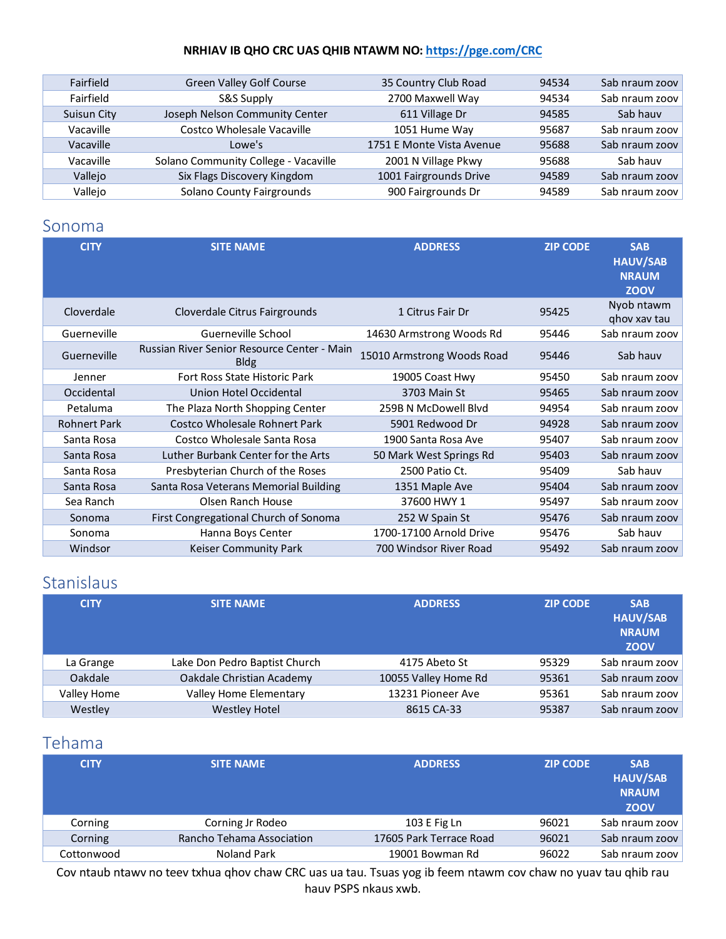| Fairfield          | <b>Green Valley Golf Course</b>      | 35 Country Club Road      | 94534 | Sab nraum zoov |
|--------------------|--------------------------------------|---------------------------|-------|----------------|
| Fairfield          | S&S Supply                           | 2700 Maxwell Way          | 94534 | Sab nraum zoov |
| <b>Suisun City</b> | Joseph Nelson Community Center       | 611 Village Dr            | 94585 | Sab hauv       |
| Vacaville          | Costco Wholesale Vacaville           | 1051 Hume Way             | 95687 | Sab nraum zoov |
| Vacaville          | Lowe's                               | 1751 E Monte Vista Avenue | 95688 | Sab nraum zoov |
| Vacaville          | Solano Community College - Vacaville | 2001 N Village Pkwy       | 95688 | Sab hauv       |
| Vallejo            | Six Flags Discovery Kingdom          | 1001 Fairgrounds Drive    | 94589 | Sab nraum zoov |
| Vallejo            | Solano County Fairgrounds            | 900 Fairgrounds Dr        | 94589 | Sab nraum zoov |

### <span id="page-13-0"></span>Sonoma

| <b>CITY</b>         | <b>SITE NAME</b>                                           | <b>ADDRESS</b>             | <b>ZIP CODE</b> | <b>SAB</b><br><b>HAUV/SAB</b><br><b>NRAUM</b><br><b>ZOOV</b> |
|---------------------|------------------------------------------------------------|----------------------------|-----------------|--------------------------------------------------------------|
| Cloverdale          | Cloverdale Citrus Fairgrounds                              | 1 Citrus Fair Dr           | 95425           | Nyob ntawm<br>ghov xav tau                                   |
| Guerneville         | Guerneville School                                         | 14630 Armstrong Woods Rd   | 95446           | Sab nraum zoov                                               |
| Guerneville         | Russian River Senior Resource Center - Main<br><b>Bldg</b> | 15010 Armstrong Woods Road | 95446           | Sab hauv                                                     |
| Jenner              | <b>Fort Ross State Historic Park</b>                       | 19005 Coast Hwy            | 95450           | Sab nraum zoov                                               |
| Occidental          | Union Hotel Occidental                                     | 3703 Main St               | 95465           | Sab nraum zoov                                               |
| Petaluma            | The Plaza North Shopping Center                            | 259B N McDowell Blyd       | 94954           | Sab nraum zoov                                               |
| <b>Rohnert Park</b> | Costco Wholesale Rohnert Park                              | 5901 Redwood Dr            | 94928           | Sab nraum zoov                                               |
| Santa Rosa          | Costco Wholesale Santa Rosa                                | 1900 Santa Rosa Ave        | 95407           | Sab nraum zoov                                               |
| Santa Rosa          | Luther Burbank Center for the Arts                         | 50 Mark West Springs Rd    | 95403           | Sab nraum zoov                                               |
| Santa Rosa          | Presbyterian Church of the Roses                           | 2500 Patio Ct.             | 95409           | Sab hauv                                                     |
| Santa Rosa          | Santa Rosa Veterans Memorial Building                      | 1351 Maple Ave             | 95404           | Sab nraum zoov                                               |
| Sea Ranch           | Olsen Ranch House                                          | 37600 HWY 1                | 95497           | Sab nraum zoov                                               |
| Sonoma              | First Congregational Church of Sonoma                      | 252 W Spain St             | 95476           | Sab nraum zoov                                               |
| Sonoma              | Hanna Boys Center                                          | 1700-17100 Arnold Drive    | 95476           | Sab hauv                                                     |
| Windsor             | <b>Keiser Community Park</b>                               | 700 Windsor River Road     | 95492           | Sab nraum zoov                                               |
|                     |                                                            |                            |                 |                                                              |

# <span id="page-13-1"></span>Stanislaus

| <b>CITY</b> | <b>SITE NAME</b>              | <b>ADDRESS</b>       | <b>ZIP CODE</b> | <b>SAB</b><br><b>HAUV/SAB</b><br><b>NRAUM</b><br><b>ZOOV</b> |
|-------------|-------------------------------|----------------------|-----------------|--------------------------------------------------------------|
| La Grange   | Lake Don Pedro Baptist Church | 4175 Abeto St        | 95329           | Sab nraum zoov                                               |
| Oakdale     | Oakdale Christian Academy     | 10055 Valley Home Rd | 95361           | Sab nraum zoov                                               |
| Valley Home | Valley Home Elementary        | 13231 Pioneer Ave    | 95361           | Sab nraum zoov                                               |
| Westley     | <b>Westley Hotel</b>          | 8615 CA-33           | 95387           | Sab nraum zoov                                               |

## <span id="page-13-2"></span>Tehama

| <b>CITY</b> | <b>SITE NAME</b>          | <b>ADDRESS</b>          | <b>ZIP CODE</b> | <b>SAB</b><br><b>HAUV/SAB</b><br><b>NRAUM</b><br><b>ZOOV</b> |
|-------------|---------------------------|-------------------------|-----------------|--------------------------------------------------------------|
| Corning     | Corning Jr Rodeo          | 103 E Fig Ln            | 96021           | Sab nraum zoov                                               |
| Corning     | Rancho Tehama Association | 17605 Park Terrace Road | 96021           | Sab nraum zoov                                               |
| Cottonwood  | Noland Park               | 19001 Bowman Rd         | 96022           | Sab nraum zoov                                               |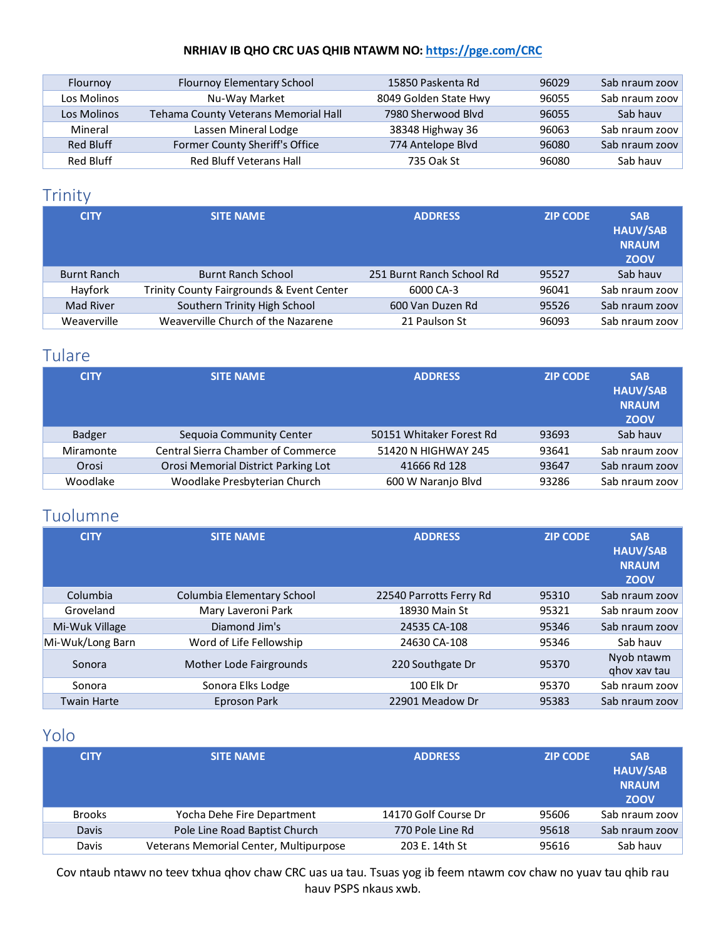| Flournoy         | Flournoy Elementary School           | 15850 Paskenta Rd     | 96029 | Sab nraum zoov |
|------------------|--------------------------------------|-----------------------|-------|----------------|
| Los Molinos      | Nu-Way Market                        | 8049 Golden State Hwy | 96055 | Sab nraum zoov |
| Los Molinos      | Tehama County Veterans Memorial Hall | 7980 Sherwood Blyd    | 96055 | Sab hauv       |
| Mineral          | Lassen Mineral Lodge                 | 38348 Highway 36      | 96063 | Sab nraum zoov |
| <b>Red Bluff</b> | Former County Sheriff's Office       | 774 Antelope Blvd     | 96080 | Sab nraum zoov |
| <b>Red Bluff</b> | <b>Red Bluff Veterans Hall</b>       | 735 Oak St            | 96080 | Sab hauv       |

### <span id="page-14-0"></span>Trinity

| <b>CITY</b>        | <b>SITE NAME</b>                          | <b>ADDRESS</b>            | <b>ZIP CODE</b> | <b>SAB</b><br><b>HAUV/SAB</b><br><b>NRAUM</b><br><b>ZOOV</b> |
|--------------------|-------------------------------------------|---------------------------|-----------------|--------------------------------------------------------------|
| <b>Burnt Ranch</b> | <b>Burnt Ranch School</b>                 | 251 Burnt Ranch School Rd | 95527           | Sab hauv                                                     |
| Hayfork            | Trinity County Fairgrounds & Event Center | 6000 CA-3                 | 96041           | Sab nraum zoov                                               |
| <b>Mad River</b>   | Southern Trinity High School              | 600 Van Duzen Rd          | 95526           | Sab nraum zoov                                               |
| Weaverville        | Weaverville Church of the Nazarene        | 21 Paulson St             | 96093           | Sab nraum zoov                                               |

## <span id="page-14-1"></span>Tulare

| <b>CITY</b>   | <b>SITE NAME</b>                          | <b>ADDRESS</b>           | <b>ZIP CODE</b> | <b>SAB</b><br><b>HAUV/SAB</b><br><b>NRAUM</b><br><b>ZOOV</b> |
|---------------|-------------------------------------------|--------------------------|-----------------|--------------------------------------------------------------|
| <b>Badger</b> | Sequoia Community Center                  | 50151 Whitaker Forest Rd | 93693           | Sab hauv                                                     |
| Miramonte     | <b>Central Sierra Chamber of Commerce</b> | 51420 N HIGHWAY 245      | 93641           | Sab nraum zoov                                               |
| Orosi         | Orosi Memorial District Parking Lot       | 41666 Rd 128             | 93647           | Sab nraum zoov                                               |
| Woodlake      | Woodlake Presbyterian Church              | 600 W Naranjo Blvd       | 93286           | Sab nraum zoov                                               |

# <span id="page-14-2"></span>Tuolumne

| <b>CITY</b>        | <b>SITE NAME</b>           | <b>ADDRESS</b>          | <b>ZIP CODE</b> | <b>SAB</b><br><b>HAUV/SAB</b><br><b>NRAUM</b><br><b>ZOOV</b> |
|--------------------|----------------------------|-------------------------|-----------------|--------------------------------------------------------------|
| Columbia           | Columbia Elementary School | 22540 Parrotts Ferry Rd | 95310           | Sab nraum zoov                                               |
| Groveland          | Mary Laveroni Park         | 18930 Main St           | 95321           | Sab nraum zoov                                               |
| Mi-Wuk Village     | Diamond Jim's              | 24535 CA-108            | 95346           | Sab nraum zoov                                               |
| Mi-Wuk/Long Barn   | Word of Life Fellowship    | 24630 CA-108            | 95346           | Sab hauv                                                     |
| Sonora             | Mother Lode Fairgrounds    | 220 Southgate Dr        | 95370           | Nyob ntawm<br>ghov xav tau                                   |
| Sonora             | Sonora Elks Lodge          | 100 Elk Dr              | 95370           | Sab nraum zoov                                               |
| <b>Twain Harte</b> | Eproson Park               | 22901 Meadow Dr         | 95383           | Sab nraum zoov                                               |

### <span id="page-14-3"></span>Yolo

| <b>CITY</b>   | <b>SITE NAME</b>                       | <b>ADDRESS</b>       | <b>ZIP CODE</b> | <b>SAB</b><br><b>HAUV/SAB</b><br><b>NRAUM</b><br><b>ZOOV</b> |
|---------------|----------------------------------------|----------------------|-----------------|--------------------------------------------------------------|
| <b>Brooks</b> | Yocha Dehe Fire Department             | 14170 Golf Course Dr | 95606           | Sab nraum zoov                                               |
| <b>Davis</b>  | Pole Line Road Baptist Church          | 770 Pole Line Rd     | 95618           | Sab nraum zoov                                               |
| Davis         | Veterans Memorial Center, Multipurpose | 203 E. 14th St       | 95616           | Sab hauv                                                     |